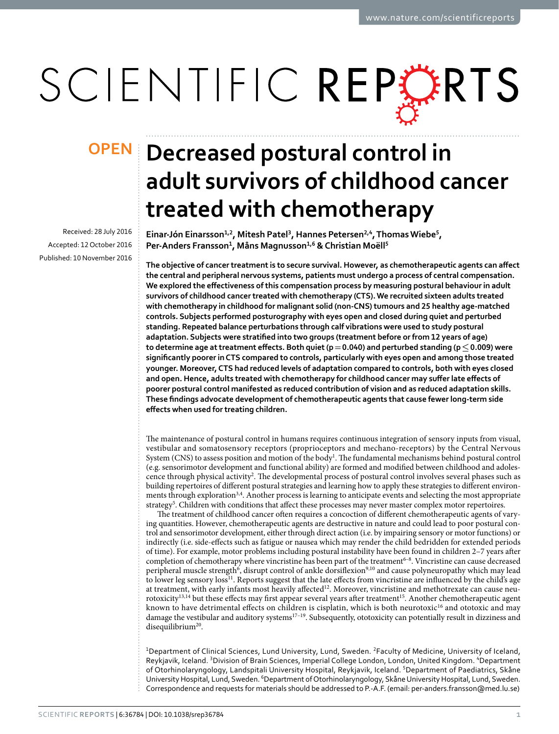# SCIENTIFIC REPERTS

Received: 28 July 2016 accepted: 12 October 2016 Published: 10 November 2016

## **Decreased postural control in OPENadult survivors of childhood cancer treated with chemotherapy**

**Einar-Jón Einarsson<sup>1</sup>,<sup>2</sup>, Mitesh Patel<sup>3</sup>, Hannes Petersen<sup>2</sup>,<sup>4</sup>, ThomasWiebe<sup>5</sup>, Per-Anders Fransson<sup>1</sup>, Måns Magnusson<sup>1</sup>,<sup>6</sup> & Christian Moëll<sup>5</sup>**

**The objective of cancer treatment is to secure survival. However, as chemotherapeutic agents can affect the central and peripheral nervous systems, patients must undergo a process of central compensation. We explored the effectiveness of this compensation process by measuring postural behaviour in adult survivors of childhood cancer treated with chemotherapy (CTS). We recruited sixteen adults treated with chemotherapy in childhood for malignant solid (non-CNS) tumours and 25 healthy age-matched controls. Subjects performed posturography with eyes open and closed during quiet and perturbed standing. Repeated balance perturbations through calf vibrations were used to study postural adaptation. Subjects were stratified into two groups (treatment before or from 12 years of age) to determine age at treatment effects. Both quiet (p=0.040) and perturbed standing (p≤0.009) were significantly poorer in CTS compared to controls, particularly with eyes open and among those treated younger. Moreover, CTS had reduced levels of adaptation compared to controls, both with eyes closed and open. Hence, adults treated with chemotherapy for childhood cancer may suffer late effects of poorer postural control manifested as reduced contribution of vision and as reduced adaptation skills. These findings advocate development of chemotherapeutic agents that cause fewer long-term side effects when used for treating children.**

The maintenance of postural control in humans requires continuous integration of sensory inputs from visual, vestibular and somatosensory receptors (proprioceptors and mechano-receptors) by the Central Nervous System (CNS) to assess position and motion of the body<sup>1</sup>. The fundamental mechanisms behind postural control (e.g. sensorimotor development and functional ability) are formed and modified between childhood and adolescence through physical activity[2](#page-8-1) . The developmental process of postural control involves several phases such as building repertoires of different postural strategies and learning how to apply these strategies to different environ-ments through exploration<sup>3,[4](#page-8-3)</sup>. Another process is learning to anticipate events and selecting the most appropriate strategy<sup>[5](#page-8-4)</sup>. Children with conditions that affect these processes may never master complex motor repertoires.

The treatment of childhood cancer often requires a concoction of different chemotherapeutic agents of varying quantities. However, chemotherapeutic agents are destructive in nature and could lead to poor postural control and sensorimotor development, either through direct action (i.e. by impairing sensory or motor functions) or indirectly (i.e. side-effects such as fatigue or nausea which may render the child bedridden for extended periods of time). For example, motor problems including postural instability have been found in children 2–7 years after completion of chemotherapy where vincristine has been part of the treatment<sup>6-8</sup>. Vincristine can cause decreased peripheral muscle strength<sup>[6](#page-8-5)</sup>, disrupt control of ankle dorsiflexion<sup>[9,](#page-8-6)10</sup> and cause polyneuropathy which may lead to lower leg sensory loss<sup>[11](#page-8-8)</sup>. Reports suggest that the late effects from vincristine are influenced by the child's age at treatment, with early infants most heavily affected<sup>12</sup>. Moreover, vincristine and methotrexate can cause neu-rotoxicity<sup>13[,14](#page-8-11)</sup> but these effects may first appear several years after treatment<sup>[15](#page-8-12)</sup>. Another chemotherapeutic agent known to have detrimental effects on children is cisplatin, which is both neurotoxic<sup>16</sup> and ototoxic and may damage the vestibular and auditory system[s17–19.](#page-8-14) Subsequently, ototoxicity can potentially result in dizziness and disequilibrium<sup>[20](#page-8-15)</sup>.

<sup>1</sup>Department of Clinical Sciences, Lund University, Lund, Sweden. <sup>2</sup>Faculty of Medicine, University of Iceland, Reykjavik, Iceland. <sup>3</sup>Division of Brain Sciences, Imperial College London, London, United Kingdom. <sup>4</sup>Department of Otorhinolaryngology, Landspitali University Hospital, Reykjavik, Iceland. <sup>5</sup>Department of Paediatrics, Skåne University Hospital, Lund, Sweden. <sup>6</sup>Department of Otorhinolaryngology, Skåne University Hospital, Lund, Sweden. Correspondence and requests for materials should be addressed to P.-A.F. (email: [per-anders.fransson@med.lu.se](mailto:per-anders.fransson@med.lu.se))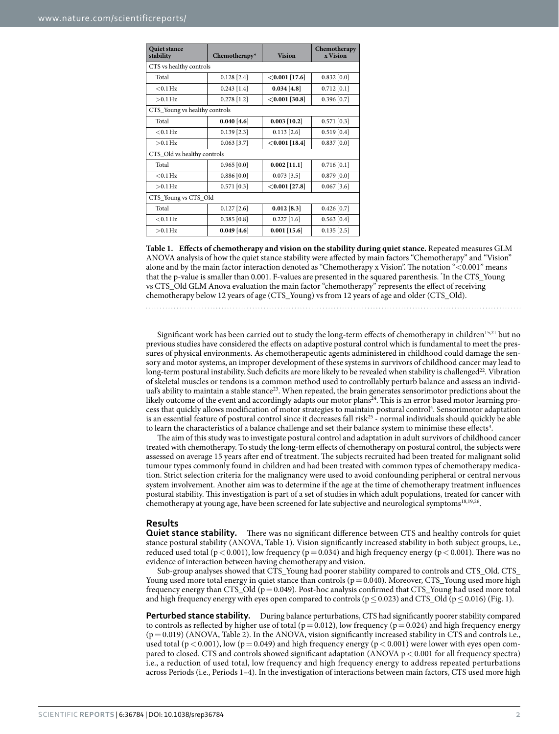<span id="page-1-0"></span>

| <b>Quiet stance</b><br>stability | Chemotherapy $*$ | <b>Vision</b>    | Chemotherapy<br>x Vision |  |  |  |
|----------------------------------|------------------|------------------|--------------------------|--|--|--|
| CTS vs healthy controls          |                  |                  |                          |  |  |  |
| Total                            | $0.128$ [2.4]    | $<$ 0.001 [17.6] | $0.832$ [0.0]            |  |  |  |
| $<$ 0.1 Hz                       | $0.243$ [1.4]    | $0.034$ [4.8]    | $0.712$ [0.1]            |  |  |  |
| $>0.1$ Hz                        | $0.278$ [1.2]    | $< 0.001$ [30.8] | $0.396$ [0.7]            |  |  |  |
| CTS_Young vs healthy controls    |                  |                  |                          |  |  |  |
| Total                            | $0.040$ [4.6]    | $0.003$ [10.2]   | $0.571$ [0.3]            |  |  |  |
| $< 0.1$ Hz                       | $0.139$ [2.3]    | $0.113$ [2.6]    | $0.519$ [0.4]            |  |  |  |
| $>0.1$ Hz                        | $0.063$ [3.7]    | $<$ 0.001 [18.4] | $0.837$ [0.0]            |  |  |  |
| CTS_Old vs healthy controls      |                  |                  |                          |  |  |  |
| Total                            | $0.965$ [0.0]    | $0.002$ [11.1]   | $0.716$ [0.1]            |  |  |  |
| $<$ 0.1 Hz                       | 0.886 [0.0]      | $0.073$ [3.5]    | $0.879$ [0.0]            |  |  |  |
| $>0.1$ Hz                        | $0.571$ [0.3]    | $<$ 0.001 [27.8] | $0.067$ [3.6]            |  |  |  |
| CTS_Young vs CTS_Old             |                  |                  |                          |  |  |  |
| Total                            | $0.127$ [2.6]    | $0.012$ [8.3]    | $0.426$ [0.7]            |  |  |  |
| $<$ 0.1 Hz                       | $0.385$ [0.8]    | $0.227$ [1.6]    | $0.563$ [0.4]            |  |  |  |
| $>0.1$ Hz                        | $0.049$ [4.6]    | $0.001$ [15.6]   | $0.135$ [2.5]            |  |  |  |

**Table 1. Effects of chemotherapy and vision on the stability during quiet stance.** Repeated measures GLM ANOVA analysis of how the quiet stance stability were affected by main factors "Chemotherapy" and "Vision" alone and by the main factor interaction denoted as "Chemotherapy x Vision". The notation "<0.001" means that the p-value is smaller than 0.001. F-values are presented in the squared parenthesis. \* In the CTS\_Young vs CTS\_Old GLM Anova evaluation the main factor "chemotherapy" represents the effect of receiving chemotherapy below 12 years of age (CTS\_Young) vs from 12 years of age and older (CTS\_Old).

Significant work has been carried out to study the long-term effects of chemotherapy in children<sup>15[,21](#page-8-16)</sup> but no previous studies have considered the effects on adaptive postural control which is fundamental to meet the pressures of physical environments. As chemotherapeutic agents administered in childhood could damage the sensory and motor systems, an improper development of these systems in survivors of childhood cancer may lead to long-term postural instability. Such deficits are more likely to be revealed when stability is challenged<sup>22</sup>. Vibration of skeletal muscles or tendons is a common method used to controllably perturb balance and assess an individual's ability to maintain a stable stance<sup>23</sup>. When repeated, the brain generates sensorimotor predictions about the likely outcome of the event and accordingly adapts our motor plans<sup>24</sup>. This is an error based motor learning pro-cess that quickly allows modification of motor strategies to maintain postural control<sup>[4](#page-8-3)</sup>. Sensorimotor adaptation is an essential feature of postural control since it decreases fall risk<sup>25</sup> - normal individuals should quickly be able to learn the characteristics of a balance challenge and set their balance system to minimise these effects<sup>[4](#page-8-3)</sup>.

The aim of this study was to investigate postural control and adaptation in adult survivors of childhood cancer treated with chemotherapy. To study the long-term effects of chemotherapy on postural control, the subjects were assessed on average 15 years after end of treatment. The subjects recruited had been treated for malignant solid tumour types commonly found in children and had been treated with common types of chemotherapy medication. Strict selection criteria for the malignancy were used to avoid confounding peripheral or central nervous system involvement. Another aim was to determine if the age at the time of chemotherapy treatment influences postural stability. This investigation is part of a set of studies in which adult populations, treated for cancer with chemotherapy at young age, have been screened for late subjective and neurological symptoms<sup>18[,19](#page-8-22),26</sup>.

#### **Results**

**Quiet stance stability.** There was no significant difference between CTS and healthy controls for quiet stance postural stability (ANOVA, [Table 1\)](#page-1-0). Vision significantly increased stability in both subject groups, i.e., reduced used total ( $p < 0.001$ ), low frequency ( $p = 0.034$ ) and high frequency energy ( $p < 0.001$ ). There was no evidence of interaction between having chemotherapy and vision.

Sub-group analyses showed that CTS\_Young had poorer stability compared to controls and CTS\_Old. CTS\_ Young used more total energy in quiet stance than controls ( $p= 0.040$ ). Moreover, CTS\_Young used more high frequency energy than CTS\_Old ( $p = 0.049$ ). Post-hoc analysis confirmed that CTS\_Young had used more total and high frequency energy with eyes open compared to controls ( $p \le 0.023$ ) and CTS\_Old ( $p \le 0.016$ ) ([Fig. 1](#page-2-0)).

**Perturbed stance stability.** During balance perturbations, CTS had significantly poorer stability compared to controls as reflected by higher use of total ( $p = 0.012$ ), low frequency ( $p = 0.024$ ) and high frequency energy  $(p= 0.019)$  (ANOVA, [Table 2](#page-3-0)). In the ANOVA, vision significantly increased stability in CTS and controls i.e., used total ( $p < 0.001$ ), low ( $p = 0.049$ ) and high frequency energy ( $p < 0.001$ ) were lower with eyes open compared to closed. CTS and controls showed significant adaptation (ANOVA  $p < 0.001$  for all frequency spectra) i.e., a reduction of used total, low frequency and high frequency energy to address repeated perturbations across Periods (i.e., Periods 1–4). In the investigation of interactions between main factors, CTS used more high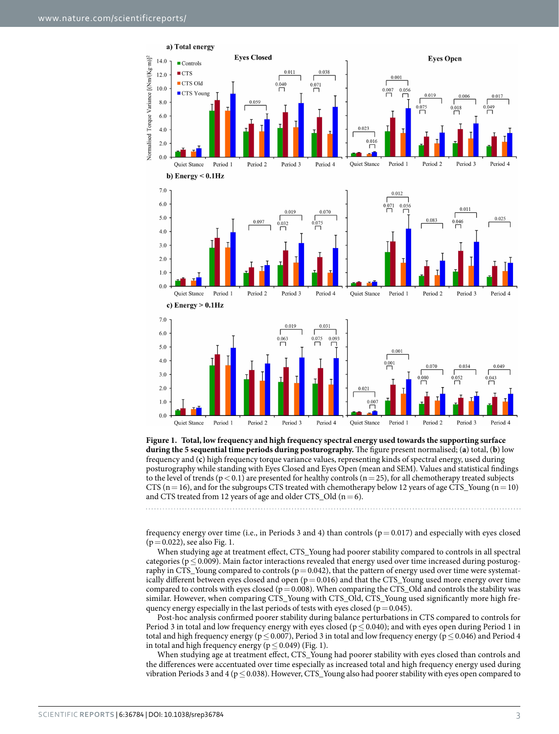

<span id="page-2-0"></span>**Figure 1. Total, low frequency and high frequency spectral energy used towards the supporting surface during the 5 sequential time periods during posturography.** The figure present normalised; (**a**) total, (**b**) low frequency and (**c**) high frequency torque variance values, representing kinds of spectral energy, used during posturography while standing with Eyes Closed and Eyes Open (mean and SEM). Values and statistical findings to the level of trends ( $p < 0.1$ ) are presented for healthy controls ( $n=25$ ), for all chemotherapy treated subjects CTS ( $n=16$ ), and for the subgroups CTS treated with chemotherapy below 12 years of age CTS\_Young ( $n=10$ ) and CTS treated from 12 years of age and older CTS\_Old  $(n=6)$ .

frequency energy over time (i.e., in Periods 3 and 4) than controls ( $p = 0.017$ ) and especially with eyes closed  $(p=0.022)$ , see also [Fig. 1.](#page-2-0)

When studying age at treatment effect, CTS\_Young had poorer stability compared to controls in all spectral categories ( $p \le 0.009$ ). Main factor interactions revealed that energy used over time increased during posturography in CTS\_Young compared to controls ( $p=0.042$ ), that the pattern of energy used over time were systematically different between eyes closed and open  $(p= 0.016)$  and that the CTS\_Young used more energy over time compared to controls with eyes closed ( $p=0.008$ ). When comparing the CTS Old and controls the stability was similar. However, when comparing CTS\_Young with CTS\_Old, CTS\_Young used significantly more high frequency energy especially in the last periods of tests with eyes closed ( $p=0.045$ ).

Post-hoc analysis confirmed poorer stability during balance perturbations in CTS compared to controls for Period 3 in total and low frequency energy with eyes closed (p≤ 0.040); and with eyes open during Period 1 in total and high frequency energy ( $p \le 0.007$ ), Period 3 in total and low frequency energy ( $p \le 0.046$ ) and Period 4 in total and high frequency energy ( $p \le 0.049$ ) ([Fig. 1](#page-2-0)).

When studying age at treatment effect, CTS\_Young had poorer stability with eyes closed than controls and the differences were accentuated over time especially as increased total and high frequency energy used during vibration Periods 3 and 4 ( $p \le 0.038$ ). However, CTS\_Young also had poorer stability with eyes open compared to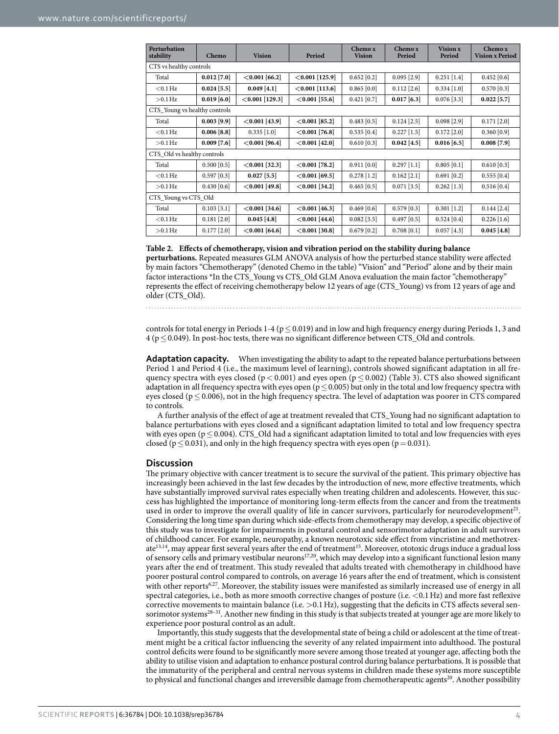<span id="page-3-0"></span>

| Perturbation<br>stability     | Chemo         | <b>Vision</b>     | Period            | Chemo x<br><b>Vision</b> | Chemo x<br>Period | Vision x<br>Period | Chemo x<br><b>Vision x Period</b> |
|-------------------------------|---------------|-------------------|-------------------|--------------------------|-------------------|--------------------|-----------------------------------|
| CTS vs healthy controls       |               |                   |                   |                          |                   |                    |                                   |
| Total                         | $0.012$ [7.0] | $< 0.001$ [66.2]  | $< 0.001$ [125.9] | $0.652$ [0.2]            | $0.095$ [2.9]     | $0.251$ [1.4]      | $0.452$ [0.6]                     |
| $<$ 0.1 Hz                    | $0.024$ [5.5] | 0.049[4.1]        | $< 0.001$ [113.6] | $0.865$ [0.0]            | $0.112$ [2.6]     | $0.334$ [1.0]      | $0.570$ [0.3]                     |
| $>0.1$ Hz                     | 0.019[6.0]    | $< 0.001$ [129.3] | $< 0.001$ [55.6]  | $0.421$ [0.7]            | $0.017$ [6.3]     | $0.076$ [3.3]      | $0.022$ [5.7]                     |
| CTS_Young vs healthy controls |               |                   |                   |                          |                   |                    |                                   |
| Total                         | $0.003$ [9.9] | $< 0.001$ [43.9]  | $< 0.001$ [85.2]  | $0.483$ [0.5]            | $0.124$ [2.5]     | $0.098$ [2.9]      | $0.171$ [2.0]                     |
| $<$ 0.1 Hz                    | $0.006$ [8.8] | $0.335$ [1.0]     | $< 0.001$ [76.8]  | $0.535$ [0.4]            | $0.227$ [1.5]     | $0.172$ [2.0]      | $0.360$ [0.9]                     |
| $>0.1$ Hz                     | $0.009$ [7.6] | $< 0.001$ [96.4]  | $< 0.001$ [42.0]  | $0.610$ [0.3]            | 0.042 [4.5]       | 0.016[6.5]         | $0.008$ [7.9]                     |
| CTS Old vs healthy controls   |               |                   |                   |                          |                   |                    |                                   |
| Total                         | $0.500$ [0.5] | $< 0.001$ [32.3]  | $< 0.001$ [78.2]  | $0.911$ [0.0]            | $0.297$ [1.1]     | $0.805$ [0.1]      | $0.610$ [0.3]                     |
| $<$ 0.1 Hz                    | $0.597$ [0.3] | $0.027$ [5.5]     | $< 0.001$ [69.5]  | $0.278$ [1.2]            | $0.162$ [2.1]     | $0.691$ [0.2]      | $0.555$ [0.4]                     |
| $>0.1$ Hz                     | $0.430$ [0.6] | $< 0.001$ [49.8]  | $< 0.001$ [34.2]  | $0.465$ [0.5]            | $0.071$ [3.5]     | $0.262$ [1.3]      | 0.516[0.4]                        |
| CTS_Young vs CTS_Old          |               |                   |                   |                          |                   |                    |                                   |
| Total                         | $0.103$ [3.1] | $< 0.001$ [34.6]  | $< 0.001$ [46.3]  | $0.469$ [0.6]            | $0.579$ [0.3]     | $0.301$ [1.2]      | $0.144$ [2.4]                     |
| $<$ 0.1 Hz                    | $0.181$ [2.0] | $0.045$ [4.8]     | $< 0.001$ [44.6]  | $0.082$ [3.5]            | $0.497$ [0.5]     | $0.524$ [0.4]      | $0.226$ [1.6]                     |
| $>0.1$ Hz                     | $0.177$ [2.0] | $< 0.001$ [64.6]  | $< 0.001$ [30.8]  | $0.679$ [0.2]            | $0.708$ [0.1]     | $0.057$ [4.3]      | $0.045$ [4.8]                     |

**Table 2. Effects of chemotherapy, vision and vibration period on the stability during balance perturbations.** Repeated measures GLM ANOVA analysis of how the perturbed stance stability were affected by main factors "Chemotherapy" (denoted Chemo in the table) "Vision" and "Period" alone and by their main factor interactions \*In the CTS\_Young vs CTS\_Old GLM Anova evaluation the main factor "chemotherapy" represents the effect of receiving chemotherapy below 12 years of age (CTS\_Young) vs from 12 years of age and older (CTS\_Old).

controls for total energy in Periods 1-4 ( $p \le 0.019$ ) and in low and high frequency energy during Periods 1, 3 and 4 (p≤0.049). In post-hoc tests, there was no significant difference between CTS\_Old and controls.

**Adaptation capacity.** When investigating the ability to adapt to the repeated balance perturbations between Period 1 and Period 4 (i.e., the maximum level of learning), controls showed significant adaptation in all frequency spectra with eyes closed (p < 0.001) and eyes open (p  $\leq$  0.002) ([Table 3\)](#page-4-0). CTS also showed significant adaptation in all frequency spectra with eyes open ( $p \le 0.005$ ) but only in the total and low frequency spectra with eyes closed (p≤ 0.006), not in the high frequency spectra. The level of adaptation was poorer in CTS compared to controls.

A further analysis of the effect of age at treatment revealed that CTS\_Young had no significant adaptation to balance perturbations with eyes closed and a significant adaptation limited to total and low frequency spectra with eyes open ( $p \le 0.004$ ). CTS\_Old had a significant adaptation limited to total and low frequencies with eyes closed ( $p \le 0.031$ ), and only in the high frequency spectra with eyes open ( $p=0.031$ ).

#### **Discussion**

The primary objective with cancer treatment is to secure the survival of the patient. This primary objective has increasingly been achieved in the last few decades by the introduction of new, more effective treatments, which have substantially improved survival rates especially when treating children and adolescents. However, this success has highlighted the importance of monitoring long-term effects from the cancer and from the treatments used in order to improve the overall quality of life in cancer survivors, particularly for neurodevelopment $^{21}$ . Considering the long time span during which side-effects from chemotherapy may develop, a specific objective of this study was to investigate for impairments in postural control and sensorimotor adaptation in adult survivors of childhood cancer. For example, neuropathy, a known neurotoxic side effect from vincristine and methotrex-ate<sup>[13,](#page-8-10)[14](#page-8-11)</sup>, may appear first several years after the end of treatment<sup>15</sup>. Moreover, ototoxic drugs induce a gradual loss of sensory cells and primary vestibular neurons<sup>17,20</sup>, which may develop into a significant functional lesion many years after the end of treatment. This study revealed that adults treated with chemotherapy in childhood have poorer postural control compared to controls, on average 16 years after the end of treatment, which is consistent with other reports<sup>6[,27](#page-8-24)</sup>. Moreover, the stability issues were manifested as similarly increased use of energy in all spectral categories, i.e., both as more smooth corrective changes of posture (i.e. <0.1Hz) and more fast reflexive corrective movements to maintain balance (i.e. >0.1Hz), suggesting that the deficits in CTS affects several sensorimotor systems<sup>28–31</sup>. Another new finding in this study is that subjects treated at younger age are more likely to experience poor postural control as an adult.

Importantly, this study suggests that the developmental state of being a child or adolescent at the time of treatment might be a critical factor influencing the severity of any related impairment into adulthood. The postural control deficits were found to be significantly more severe among those treated at younger age, affecting both the ability to utilise vision and adaptation to enhance postural control during balance perturbations. It is possible that the immaturity of the peripheral and central nervous systems in children made these systems more susceptible to physical and functional changes and irreversible damage from chemotherapeutic agents<sup>20</sup>. Another possibility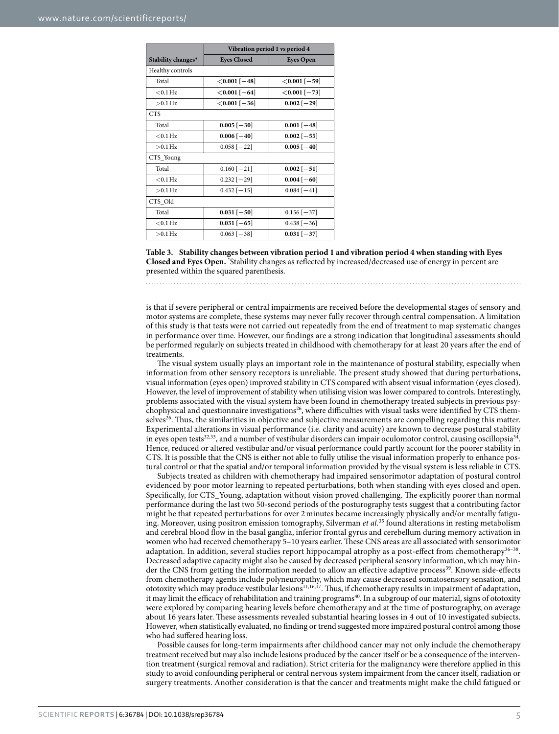<span id="page-4-0"></span>

|                    | Vibration period 1 vs period 4 |                   |  |  |  |  |
|--------------------|--------------------------------|-------------------|--|--|--|--|
| Stability changes* | <b>Eyes Closed</b>             | <b>Eyes Open</b>  |  |  |  |  |
| Healthy controls   |                                |                   |  |  |  |  |
| Total              | $< 0.001$ [-48]                | $< 0.001$ [-59]   |  |  |  |  |
| $<$ 0.1 Hz         | $< 0.001$ [-64]                | $< 0.001$ [-73]   |  |  |  |  |
| $>0.1$ Hz          | $< 0.001$ [-36]                | $0.002[-29]$      |  |  |  |  |
| <b>CTS</b>         |                                |                   |  |  |  |  |
| Total              | $0.005$ [-30]                  | $0.001[-48]$      |  |  |  |  |
| $<$ 0.1 Hz         | $0.006[-40]$                   | $0.002$ [-55]     |  |  |  |  |
| $>0.1$ Hz          | $0.058$ [-22]                  | $0.005[-40]$      |  |  |  |  |
| CTS_Young          |                                |                   |  |  |  |  |
| Total              | $0.160$ [-21]                  | $0.002[-51]$      |  |  |  |  |
| $< 0.1$ Hz         | $0.232$ [-29]                  | $0.004[-60]$      |  |  |  |  |
| $>0.1$ Hz          | $0.432[-15]$                   | $0.084[-41]$      |  |  |  |  |
| CTS_Old            |                                |                   |  |  |  |  |
| Total              | $0.031$ [-50]                  | $0.156$ [ $-37$ ] |  |  |  |  |
| $<$ 0.1 Hz         | $0.031[-65]$                   | $0.438$ [-36]     |  |  |  |  |
| $>0.1$ Hz          | $0.063$ [-38]                  | $0.031$ [-37]     |  |  |  |  |



is that if severe peripheral or central impairments are received before the developmental stages of sensory and motor systems are complete, these systems may never fully recover through central compensation. A limitation of this study is that tests were not carried out repeatedly from the end of treatment to map systematic changes in performance over time. However, our findings are a strong indication that longitudinal assessments should be performed regularly on subjects treated in childhood with chemotherapy for at least 20 years after the end of treatments.

The visual system usually plays an important role in the maintenance of postural stability, especially when information from other sensory receptors is unreliable. The present study showed that during perturbations, visual information (eyes open) improved stability in CTS compared with absent visual information (eyes closed). However, the level of improvement of stability when utilising vision was lower compared to controls. Interestingly, problems associated with the visual system have been found in chemotherapy treated subjects in previous psy-chophysical and questionnaire investigations<sup>[26](#page-8-23)</sup>, where difficulties with visual tasks were identified by CTS them-selves<sup>[26](#page-8-23)</sup>. Thus, the similarities in objective and subjective measurements are compelling regarding this matter. Experimental alterations in visual performance (i.e. clarity and acuity) are known to decrease postural stability in eyes open tests<sup>32,33</sup>, and a number of vestibular disorders can impair oculomotor control, causing oscillopsia<sup>34</sup>. Hence, reduced or altered vestibular and/or visual performance could partly account for the poorer stability in CTS. It is possible that the CNS is either not able to fully utilise the visual information properly to enhance postural control or that the spatial and/or temporal information provided by the visual system is less reliable in CTS.

Subjects treated as children with chemotherapy had impaired sensorimotor adaptation of postural control evidenced by poor motor learning to repeated perturbations, both when standing with eyes closed and open. Specifically, for CTS\_Young, adaptation without vision proved challenging. The explicitly poorer than normal performance during the last two 50-second periods of the posturography tests suggest that a contributing factor might be that repeated perturbations for over 2minutes became increasingly physically and/or mentally fatiguing. Moreover, using positron emission tomography, Silverman *et al.*[35](#page-9-3) found alterations in resting metabolism and cerebral blood flow in the basal ganglia, inferior frontal gyrus and cerebellum during memory activation in women who had received chemotherapy 5–10 years earlier. These CNS areas are all associated with sensorimotor adaptation. In addition, several studies report hippocampal atrophy as a post-effect from chemotherapy<sup>36–38</sup>. Decreased adaptive capacity might also be caused by decreased peripheral sensory information, which may hinder the CNS from getting the information needed to allow an effective adaptive process<sup>39</sup>. Known side-effects from chemotherapy agents include polyneuropathy, which may cause decreased somatosensory sensation, and ototoxity which may produce vestibular lesions[11](#page-8-8),[16](#page-8-13),[17](#page-8-14). Thus, if chemotherapy results in impairment of adaptation, it may limit the efficacy of rehabilitation and training programs<sup>[40](#page-9-6)</sup>. In a subgroup of our material, signs of ototoxity were explored by comparing hearing levels before chemotherapy and at the time of posturography, on average about 16 years later. These assessments revealed substantial hearing losses in 4 out of 10 investigated subjects. However, when statistically evaluated, no finding or trend suggested more impaired postural control among those who had suffered hearing loss.

Possible causes for long-term impairments after childhood cancer may not only include the chemotherapy treatment received but may also include lesions produced by the cancer itself or be a consequence of the intervention treatment (surgical removal and radiation). Strict criteria for the malignancy were therefore applied in this study to avoid confounding peripheral or central nervous system impairment from the cancer itself, radiation or surgery treatments. Another consideration is that the cancer and treatments might make the child fatigued or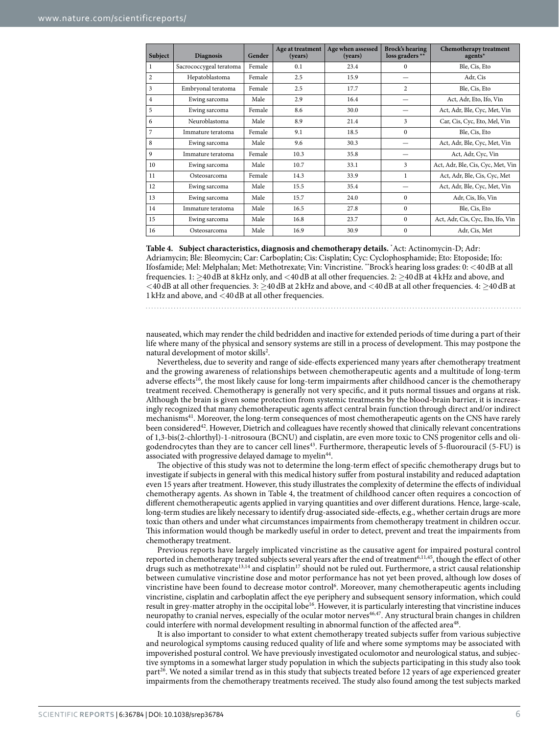<span id="page-5-0"></span>

| Subject        | <b>Diagnosis</b>        | Gender | Age at treatment<br>(years) | Age when assessed<br>(years) | <b>Brock's hearing</b><br>loss graders ** | <b>Chemotherapy treatment</b><br>agents* |
|----------------|-------------------------|--------|-----------------------------|------------------------------|-------------------------------------------|------------------------------------------|
| 1              | Sacrococcygeal teratoma | Female | 0.1                         | 23.4                         | $\Omega$                                  | Ble, Cis, Eto                            |
| $\overline{2}$ | Hepatoblastoma          | Female | 2.5                         | 15.9                         |                                           | Adr, Cis                                 |
| 3              | Embryonal teratoma      | Female | 2.5                         | 17.7                         | $\overline{2}$                            | Ble, Cis, Eto                            |
| $\overline{4}$ | Ewing sarcoma           | Male   | 2.9                         | 16.4                         |                                           | Act, Adr, Eto, Ifo, Vin                  |
| 5              | Ewing sarcoma           | Female | 8.6                         | 30.0                         |                                           | Act, Adr, Ble, Cyc, Met, Vin             |
| 6              | Neuroblastoma           | Male   | 8.9                         | 21.4                         | 3                                         | Car, Cis, Cyc, Eto, Mel, Vin             |
| $\overline{7}$ | Immature teratoma       | Female | 9.1                         | 18.5                         | $\Omega$                                  | Ble, Cis, Eto                            |
| 8              | Ewing sarcoma           | Male   | 9.6                         | 30.3                         |                                           | Act, Adr, Ble, Cyc, Met, Vin             |
| 9              | Immature teratoma       | Female | 10.3                        | 35.8                         |                                           | Act, Adr, Cyc, Vin                       |
| 10             | Ewing sarcoma           | Male   | 10.7                        | 33.1                         | 3                                         | Act, Adr, Ble, Cis, Cyc, Met, Vin        |
| 11             | Osteosarcoma            | Female | 14.3                        | 33.9                         | 1                                         | Act, Adr, Ble, Cis, Cyc, Met             |
| 12             | Ewing sarcoma           | Male   | 15.5                        | 35.4                         |                                           | Act, Adr, Ble, Cyc, Met, Vin             |
| 13             | Ewing sarcoma           | Male   | 15.7                        | 24.0                         | $\theta$                                  | Adr, Cis, Ifo, Vin                       |
| 14             | Immature teratoma       | Male   | 16.5                        | 27.8                         | $\Omega$                                  | Ble, Cis, Eto                            |
| 15             | Ewing sarcoma           | Male   | 16.8                        | 23.7                         | $\Omega$                                  | Act, Adr, Cis, Cyc, Eto, Ifo, Vin        |
| 16             | Osteosarcoma            | Male   | 16.9                        | 30.9                         | $\mathbf{0}$                              | Adr, Cis, Met                            |

**Table 4. Subject characteristics, diagnosis and chemotherapy details.** \* Act: Actinomycin-D; Adr: Adriamycin; Ble: Bleomycin; Car: Carboplatin; Cis: Cisplatin; Cyc: Cyclophosphamide; Eto: Etoposide; Ifo: Ifosfamide; Mel: Melphalan; Met: Methotrexate; Vin: Vincristine. \*\*Brock's hearing loss grades: 0: <40dB at all frequencies. 1: ≥40dB at 8 kHz only, and <40dB at all other frequencies. 2: ≥40dB at 4 kHz and above, and <40dB at all other frequencies. 3: ≥40dB at 2 kHz and above, and <40dB at all other frequencies. 4: ≥40dB at 1 kHz and above, and <40dB at all other frequencies.

nauseated, which may render the child bedridden and inactive for extended periods of time during a part of their life where many of the physical and sensory systems are still in a process of development. This may postpone the natural development of motor skills<sup>[2](#page-8-1)</sup>.

Nevertheless, due to severity and range of side-effects experienced many years after chemotherapy treatment and the growing awareness of relationships between chemotherapeutic agents and a multitude of long-term adverse effects<sup>16</sup>, the most likely cause for long-term impairments after childhood cancer is the chemotherapy treatment received. Chemotherapy is generally not very specific, and it puts normal tissues and organs at risk. Although the brain is given some protection from systemic treatments by the blood-brain barrier, it is increasingly recognized that many chemotherapeutic agents affect central brain function through direct and/or indirect mechanisms<sup>41</sup>. Moreover, the long-term consequences of most chemotherapeutic agents on the CNS have rarely been considered<sup>[42](#page-9-8)</sup>. However, Dietrich and colleagues have recently showed that clinically relevant concentrations of 1,3-bis(2-chlorthyl)-1-nitrosoura (BCNU) and cisplatin, are even more toxic to CNS progenitor cells and oligodendrocytes than they are to cancer cell lines<sup>43</sup>. Furthermore, therapeutic levels of  $\bar{5}$ -fluorouracil (5-FU) is associated with progressive delayed damage to myelin<sup>44</sup>.

The objective of this study was not to determine the long-term effect of specific chemotherapy drugs but to investigate if subjects in general with this medical history suffer from postural instability and reduced adaptation even 15 years after treatment. However, this study illustrates the complexity of determine the effects of individual chemotherapy agents. As shown in [Table 4](#page-5-0), the treatment of childhood cancer often requires a concoction of different chemotherapeutic agents applied in varying quantities and over different durations. Hence, large-scale, long-term studies are likely necessary to identify drug-associated side-effects, e.g., whether certain drugs are more toxic than others and under what circumstances impairments from chemotherapy treatment in children occur. This information would though be markedly useful in order to detect, prevent and treat the impairments from chemotherapy treatment.

Previous reports have largely implicated vincristine as the causative agent for impaired postural control reported in chemotherapy treated subjects several years after the end of treatment<sup>6[,11](#page-8-8)[,45](#page-9-11)</sup>, though the effect of other drugs such as methotrexate<sup>[13,](#page-8-10)14</sup> and cisplatin<sup>[17](#page-8-14)</sup> should not be ruled out. Furthermore, a strict causal relationship between cumulative vincristine dose and motor performance has not yet been proved, although low doses of vincristine have been found to decrease motor control<sup>[6](#page-8-5)</sup>. Moreover, many chemotherapeutic agents including vincristine, cisplatin and carboplatin affect the eye periphery and subsequent sensory information, which could result in grey-matter atrophy in the occipital lob[e16.](#page-8-13) However, it is particularly interesting that vincristine induces neuropathy to cranial nerves, especially of the ocular motor nerves<sup>[46](#page-9-12)[,47](#page-9-13)</sup>. Any structural brain changes in children could interfere with normal development resulting in abnormal function of the affected area<sup>48</sup>.

It is also important to consider to what extent chemotherapy treated subjects suffer from various subjective and neurological symptoms causing reduced quality of life and where some symptoms may be associated with impoverished postural control. We have previously investigated oculomotor and neurological status, and subjective symptoms in a somewhat larger study population in which the subjects participating in this study also took part<sup>[26](#page-8-23)</sup>. We noted a similar trend as in this study that subjects treated before 12 years of age experienced greater impairments from the chemotherapy treatments received. The study also found among the test subjects marked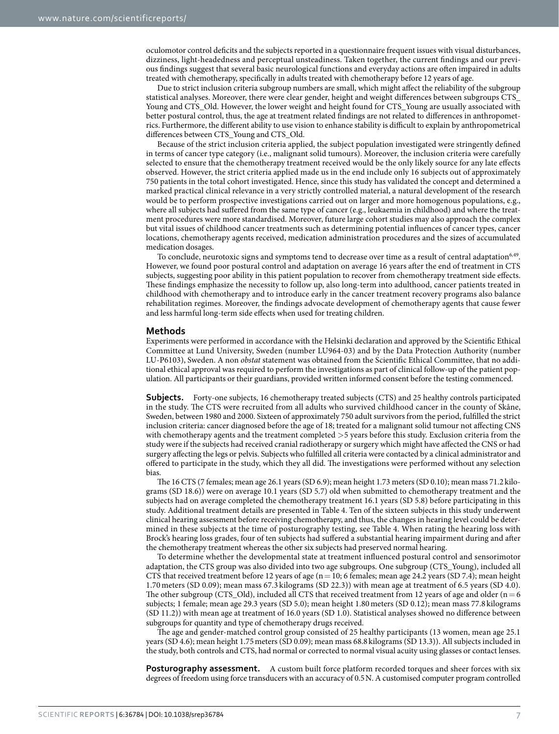oculomotor control deficits and the subjects reported in a questionnaire frequent issues with visual disturbances, dizziness, light-headedness and perceptual unsteadiness. Taken together, the current findings and our previous findings suggest that several basic neurological functions and everyday actions are often impaired in adults treated with chemotherapy, specifically in adults treated with chemotherapy before 12 years of age.

Due to strict inclusion criteria subgroup numbers are small, which might affect the reliability of the subgroup statistical analyses. Moreover, there were clear gender, height and weight differences between subgroups CTS\_ Young and CTS\_Old. However, the lower weight and height found for CTS\_Young are usually associated with better postural control, thus, the age at treatment related findings are not related to differences in anthropometrics. Furthermore, the different ability to use vision to enhance stability is difficult to explain by anthropometrical differences between CTS\_Young and CTS\_Old.

Because of the strict inclusion criteria applied, the subject population investigated were stringently defined in terms of cancer type category (i.e., malignant solid tumours). Moreover, the inclusion criteria were carefully selected to ensure that the chemotherapy treatment received would be the only likely source for any late effects observed. However, the strict criteria applied made us in the end include only 16 subjects out of approximately 750 patients in the total cohort investigated. Hence, since this study has validated the concept and determined a marked practical clinical relevance in a very strictly controlled material, a natural development of the research would be to perform prospective investigations carried out on larger and more homogenous populations, e.g., where all subjects had suffered from the same type of cancer (e.g., leukaemia in childhood) and where the treatment procedures were more standardised. Moreover, future large cohort studies may also approach the complex but vital issues of childhood cancer treatments such as determining potential influences of cancer types, cancer locations, chemotherapy agents received, medication administration procedures and the sizes of accumulated medication dosages.

To conclude, neurotoxic signs and symptoms tend to decrease over time as a result of central adaptation<sup>[6,](#page-8-5)49</sup>. However, we found poor postural control and adaptation on average 16 years after the end of treatment in CTS subjects, suggesting poor ability in this patient population to recover from chemotherapy treatment side effects. These findings emphasize the necessity to follow up, also long-term into adulthood, cancer patients treated in childhood with chemotherapy and to introduce early in the cancer treatment recovery programs also balance rehabilitation regimes. Moreover, the findings advocate development of chemotherapy agents that cause fewer and less harmful long-term side effects when used for treating children.

#### **Methods**

Experiments were performed in accordance with the Helsinki declaration and approved by the Scientific Ethical Committee at Lund University, Sweden (number LU964-03) and by the Data Protection Authority (number LU-P6103), Sweden. A non *obstat* statement was obtained from the Scientific Ethical Committee, that no additional ethical approval was required to perform the investigations as part of clinical follow-up of the patient population. All participants or their guardians, provided written informed consent before the testing commenced.

**Subjects.** Forty-one subjects, 16 chemotherapy treated subjects (CTS) and 25 healthy controls participated in the study. The CTS were recruited from all adults who survived childhood cancer in the county of Skåne, Sweden, between 1980 and 2000. Sixteen of approximately 750 adult survivors from the period, fulfilled the strict inclusion criteria: cancer diagnosed before the age of 18; treated for a malignant solid tumour not affecting CNS with chemotherapy agents and the treatment completed >5 years before this study. Exclusion criteria from the study were if the subjects had received cranial radiotherapy or surgery which might have affected the CNS or had surgery affecting the legs or pelvis. Subjects who fulfilled all criteria were contacted by a clinical administrator and offered to participate in the study, which they all did. The investigations were performed without any selection bias.

The 16 CTS (7 females; mean age 26.1 years (SD 6.9); mean height 1.73 meters (SD 0.10); mean mass 71.2 kilograms (SD 18.6)) were on average 10.1 years (SD 5.7) old when submitted to chemotherapy treatment and the subjects had on average completed the chemotherapy treatment 16.1 years (SD 5.8) before participating in this study. Additional treatment details are presented in [Table 4.](#page-5-0) Ten of the sixteen subjects in this study underwent clinical hearing assessment before receiving chemotherapy, and thus, the changes in hearing level could be determined in these subjects at the time of posturography testing, see [Table 4](#page-5-0). When rating the hearing loss with Brock's hearing loss grades, four of ten subjects had suffered a substantial hearing impairment during and after the chemotherapy treatment whereas the other six subjects had preserved normal hearing.

To determine whether the developmental state at treatment influenced postural control and sensorimotor adaptation, the CTS group was also divided into two age subgroups. One subgroup (CTS\_Young), included all CTS that received treatment before 12 years of age ( $n=10$ ; 6 females; mean age 24.2 years (SD 7.4); mean height 1.70 meters (SD 0.09); mean mass 67.3 kilograms (SD 22.3)) with mean age at treatment of 6.5 years (SD 4.0). The other subgroup (CTS\_Old), included all CTS that received treatment from 12 years of age and older  $(n=6$ subjects; 1 female; mean age 29.3 years (SD 5.0); mean height 1.80meters (SD 0.12); mean mass 77.8 kilograms (SD 11.2)) with mean age at treatment of 16.0 years (SD 1.0). Statistical analyses showed no difference between subgroups for quantity and type of chemotherapy drugs received.

The age and gender-matched control group consisted of 25 healthy participants (13 women, mean age 25.1 years (SD 4.6); mean height 1.75meters (SD 0.09); mean mass 68.8 kilograms (SD 13.3)). All subjects included in the study, both controls and CTS, had normal or corrected to normal visual acuity using glasses or contact lenses.

**Posturography assessment.** A custom built force platform recorded torques and sheer forces with six degrees of freedom using force transducers with an accuracy of 0.5N. A customised computer program controlled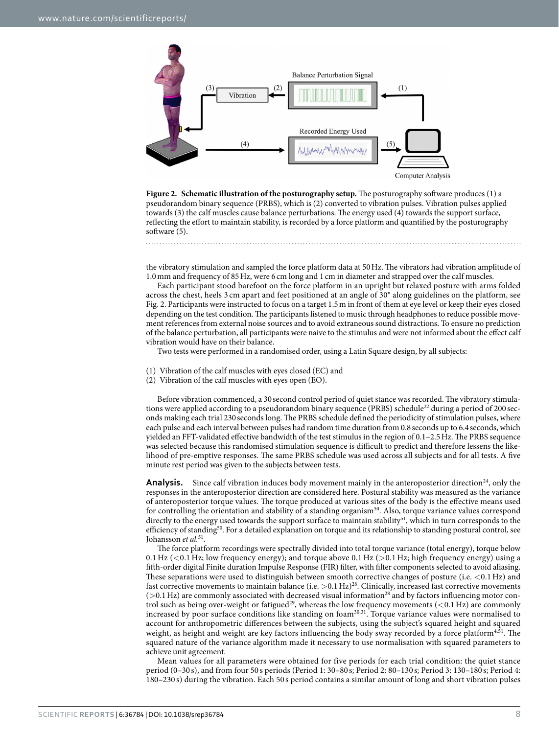

<span id="page-7-0"></span>**Figure 2. Schematic illustration of the posturography setup.** The posturography software produces (1) a pseudorandom binary sequence (PRBS), which is (2) converted to vibration pulses. Vibration pulses applied towards (3) the calf muscles cause balance perturbations. The energy used (4) towards the support surface, reflecting the effort to maintain stability, is recorded by a force platform and quantified by the posturography software (5).

the vibratory stimulation and sampled the force platform data at 50Hz. The vibrators had vibration amplitude of 1.0mm and frequency of 85Hz, were 6 cm long and 1 cm in diameter and strapped over the calf muscles.

Each participant stood barefoot on the force platform in an upright but relaxed posture with arms folded across the chest, heels 3 cm apart and feet positioned at an angle of 30° along guidelines on the platform, see [Fig. 2](#page-7-0). Participants were instructed to focus on a target 1.5m in front of them at eye level or keep their eyes closed depending on the test condition. The participants listened to music through headphones to reduce possible movement references from external noise sources and to avoid extraneous sound distractions. To ensure no prediction of the balance perturbation, all participants were naive to the stimulus and were not informed about the effect calf vibration would have on their balance.

Two tests were performed in a randomised order, using a Latin Square design, by all subjects:

- (1) Vibration of the calf muscles with eyes closed (EC) and
- (2) Vibration of the calf muscles with eyes open (EO).

Before vibration commenced, a 30 second control period of quiet stance was recorded. The vibratory stimula-tions were applied according to a pseudorandom binary sequence (PRBS) schedule<sup>[22](#page-8-17)</sup> during a period of 200 seconds making each trial 230 seconds long. The PRBS schedule defined the periodicity of stimulation pulses, where each pulse and each interval between pulses had random time duration from 0.8 seconds up to 6.4 seconds, which yielded an FFT-validated effective bandwidth of the test stimulus in the region of 0.1–2.5Hz. The PRBS sequence was selected because this randomised stimulation sequence is difficult to predict and therefore lessens the likelihood of pre-emptive responses. The same PRBS schedule was used across all subjects and for all tests. A five minute rest period was given to the subjects between tests.

**Analysis.** Since calf vibration induces body movement mainly in the anteroposterior direction<sup>[24](#page-8-19)</sup>, only the responses in the anteroposterior direction are considered here. Postural stability was measured as the variance of anteroposterior torque values. The torque produced at various sites of the body is the effective means used for controlling the orientation and stability of a standing organism<sup>50</sup>. Also, torque variance values correspond directly to the energy used towards the support surface to maintain stability<sup>[51](#page-9-17)</sup>, which in turn corresponds to the efficiency of standing<sup>50</sup>. For a detailed explanation on torque and its relationship to standing postural control, see Johansson *et al.*[51.](#page-9-17)

The force platform recordings were spectrally divided into total torque variance (total energy), torque below 0.1 Hz ( $\leq$ 0.1 Hz; low frequency energy); and torque above 0.1 Hz ( $>$ 0.1 Hz; high frequency energy) using a fifth-order digital Finite duration Impulse Response (FIR) filter, with filter components selected to avoid aliasing. These separations were used to distinguish between smooth corrective changes of posture (i.e. <0.1Hz) and fast corrective movements to maintain balance (i.e. >0.1 Hz)<sup>28</sup>. Clinically, increased fast corrective movements  $(>0.1\,\text{Hz})$  are commonly associated with decreased visual information<sup>28</sup> and by factors influencing motor control such as being over-weight or fatigued<sup>29</sup>, whereas the low frequency movements (<0.1 Hz) are commonly increased by poor surface conditions like standing on foam<sup>30[,31](#page-9-18)</sup>. Torque variance values were normalised to account for anthropometric differences between the subjects, using the subject's squared height and squared weight, as height and weight are key factors influencing the body sway recorded by a force platform<sup>4,51</sup>. The squared nature of the variance algorithm made it necessary to use normalisation with squared parameters to achieve unit agreement.

Mean values for all parameters were obtained for five periods for each trial condition: the quiet stance period (0–30 s), and from four 50 s periods (Period 1: 30–80 s; Period 2: 80–130 s; Period 3: 130–180 s; Period 4: 180–230 s) during the vibration. Each 50 s period contains a similar amount of long and short vibration pulses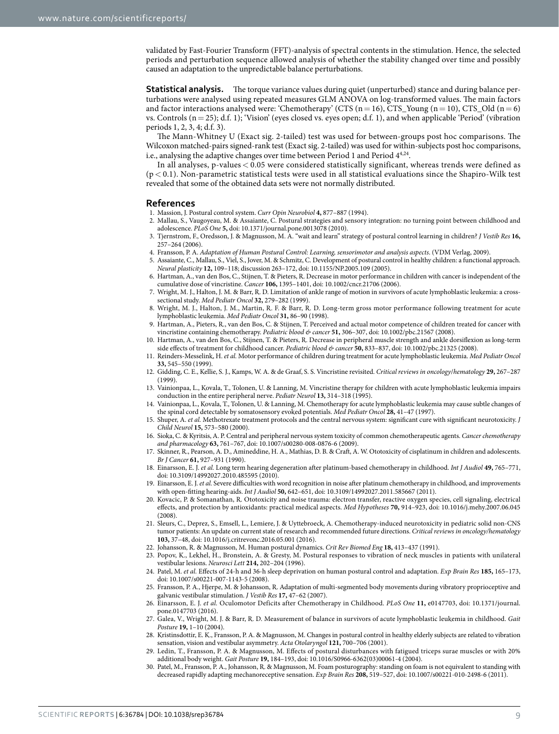validated by Fast-Fourier Transform (FFT)-analysis of spectral contents in the stimulation. Hence, the selected periods and perturbation sequence allowed analysis of whether the stability changed over time and possibly caused an adaptation to the unpredictable balance perturbations.

**Statistical analysis.** The torque variance values during quiet (unperturbed) stance and during balance perturbations were analysed using repeated measures GLM ANOVA on log-transformed values. The main factors and factor interactions analysed were: 'Chemotherapy' (CTS  $(n=16)$ , CTS\_Young  $(n=10)$ , CTS\_Old  $(n=6)$ ) vs. Controls (n= 25); d.f. 1); 'Vision' (eyes closed vs. eyes open; d.f. 1), and when applicable 'Period' (vibration periods 1, 2, 3, 4; d.f. 3).

The Mann-Whitney U (Exact sig. 2-tailed) test was used for between-groups post hoc comparisons. The Wilcoxon matched-pairs signed-rank test (Exact sig. 2-tailed) was used for within-subjects post hoc comparisons, i.e., analysing the adaptive changes over time between Period 1 and Period 4[4,](#page-8-3)[24.](#page-8-19)

In all analyses, p-values < 0.05 were considered statistically significant, whereas trends were defined as  $(p < 0.1)$ . Non-parametric statistical tests were used in all statistical evaluations since the Shapiro-Wilk test revealed that some of the obtained data sets were not normally distributed.

#### **References**

- <span id="page-8-0"></span>1. Massion, J. Postural control system. *Curr Opin Neurobiol* **4,** 877–887 (1994).
- <span id="page-8-1"></span>2. Mallau, S., Vaugoyeau, M. & Assaiante, C. Postural strategies and sensory integration: no turning point between childhood and adolescence. *PLoS One* **5,** doi: 10.1371/journal.pone.0013078 (2010).
- <span id="page-8-2"></span>3. Tjernstrom, F., Oredsson, J. & Magnusson, M. A. "wait and learn" strategy of postural control learning in children? *J Vestib Res* **16,** 257–264 (2006).
- <span id="page-8-3"></span>4. Fransson, P. A. *Adaptation of Human Postural Control: Learning, sensorimotor and analysis aspects*. (VDM Verlag, 2009).
- <span id="page-8-4"></span>5. Assaiante, C., Mallau, S., Viel, S., Jover, M. & Schmitz, C. Development of postural control in healthy children: a functional approach. *Neural plasticity* **12,** 109–118; discussion 263–172, doi: 10.1155/NP.2005.109 (2005).
- <span id="page-8-5"></span>6. Hartman, A., van den Bos, C., Stijnen, T. & Pieters, R. Decrease in motor performance in children with cancer is independent of the cumulative dose of vincristine. *Cancer* **106,** 1395–1401, doi: 10.1002/cncr.21706 (2006).
- 7. Wright, M. J., Halton, J. M. & Barr, R. D. Limitation of ankle range of motion in survivors of acute lymphoblastic leukemia: a crosssectional study. *Med Pediatr Oncol* **32,** 279–282 (1999).
- 8. Wright, M. J., Halton, J. M., Martin, R. F. & Barr, R. D. Long-term gross motor performance following treatment for acute lymphoblastic leukemia. *Med Pediatr Oncol* **31,** 86–90 (1998).
- <span id="page-8-6"></span>9. Hartman, A., Pieters, R., van den Bos, C. & Stijnen, T. Perceived and actual motor competence of children treated for cancer with vincristine containing chemotherapy. *Pediatric blood & cancer* **51,** 306–307, doi: 10.1002/pbc.21567 (2008).
- <span id="page-8-7"></span>10. Hartman, A., van den Bos, C., Stijnen, T. & Pieters, R. Decrease in peripheral muscle strength and ankle dorsiflexion as long-term side effects of treatment for childhood cancer. *Pediatric blood & cancer* **50,** 833–837, doi: 10.1002/pbc.21325 (2008).
- <span id="page-8-8"></span>11. Reinders-Messelink, H. *et al.* Motor performance of children during treatment for acute lymphoblastic leukemia. *Med Pediatr Oncol* **33,** 545–550 (1999).
- <span id="page-8-9"></span>12. Gidding, C. E., Kellie, S. J., Kamps, W. A. & de Graaf, S. S. Vincristine revisited. *Critical reviews in oncology*/*hematology* **29,** 267–287 (1999).
- <span id="page-8-10"></span>13. Vainionpaa, L., Kovala, T., Tolonen, U. & Lanning, M. Vincristine therapy for children with acute lymphoblastic leukemia impairs conduction in the entire peripheral nerve. *Pediatr Neurol* **13,** 314–318 (1995).
- <span id="page-8-11"></span>14. Vainionpaa, L., Kovala, T., Tolonen, U. & Lanning, M. Chemotherapy for acute lymphoblastic leukemia may cause subtle changes of the spinal cord detectable by somatosensory evoked potentials. *Med Pediatr Oncol* **28,** 41–47 (1997).
- <span id="page-8-12"></span>15. Shuper, A. *et al.* Methotrexate treatment protocols and the central nervous system: significant cure with significant neurotoxicity. *J Child Neurol* **15,** 573–580 (2000).
- <span id="page-8-13"></span>16. Sioka, C. & Kyritsis, A. P. Central and peripheral nervous system toxicity of common chemotherapeutic agents. *Cancer chemotherapy and pharmacology* **63,** 761–767, doi: 10.1007/s00280-008-0876-6 (2009).
- <span id="page-8-14"></span>17. Skinner, R., Pearson, A. D., Amineddine, H. A., Mathias, D. B. & Craft, A. W. Ototoxicity of cisplatinum in children and adolescents. *Br J Cancer* **61,** 927–931 (1990).
- <span id="page-8-21"></span>18. Einarsson, E. J. *et al.* Long term hearing degeneration after platinum-based chemotherapy in childhood. *Int J Audiol* **49,** 765–771, doi: 10.3109/14992027.2010.485595 (2010).
- <span id="page-8-22"></span>19. Einarsson, E. J. *et al.* Severe difficulties with word recognition in noise after platinum chemotherapy in childhood, and improvements with open-fitting hearing-aids. *Int J Audiol* **50,** 642–651, doi: 10.3109/14992027.2011.585667 (2011).
- <span id="page-8-15"></span>20. Kovacic, P. & Somanathan, R. Ototoxicity and noise trauma: electron transfer, reactive oxygen species, cell signaling, electrical effects, and protection by antioxidants: practical medical aspects. *Med Hypotheses* **70,** 914–923, doi: 10.1016/j.mehy.2007.06.045 (2008).
- <span id="page-8-16"></span>21. Sleurs, C., Deprez, S., Emsell, L., Lemiere, J. & Uyttebroeck, A. Chemotherapy-induced neurotoxicity in pediatric solid non-CNS tumor patients: An update on current state of research and recommended future directions. *Critical reviews in oncology/hematology* **103,** 37–48, doi: 10.1016/j.critrevonc.2016.05.001 (2016).
- <span id="page-8-17"></span>22. Johansson, R. & Magnusson, M. Human postural dynamics. *Crit Rev Biomed Eng* **18,** 413–437 (1991).
- <span id="page-8-18"></span>23. Popov, K., Lekhel, H., Bronstein, A. & Gresty, M. Postural responses to vibration of neck muscles in patients with unilateral vestibular lesions. *Neurosci Lett* **214,** 202–204 (1996).
- <span id="page-8-19"></span>24. Patel, M. *et al.* Effects of 24-h and 36-h sleep deprivation on human postural control and adaptation. *Exp Brain Res* **185,** 165–173, doi: 10.1007/s00221-007-1143-5 (2008).
- <span id="page-8-20"></span>25. Fransson, P. A., Hjerpe, M. & Johansson, R. Adaptation of multi-segmented body movements during vibratory proprioceptive and galvanic vestibular stimulation. *J Vestib Res* **17,** 47–62 (2007).
- <span id="page-8-23"></span>26. Einarsson, E. J. *et al.* Oculomotor Deficits after Chemotherapy in Childhood. *PLoS One* **11,** e0147703, doi: 10.1371/journal. pone.0147703 (2016).
- <span id="page-8-24"></span>27. Galea, V., Wright, M. J. & Barr, R. D. Measurement of balance in survivors of acute lymphoblastic leukemia in childhood. *Gait Posture* **19,** 1–10 (2004).
- <span id="page-8-25"></span>28. Kristinsdottir, E. K., Fransson, P. A. & Magnusson, M. Changes in postural control in healthy elderly subjects are related to vibration sensation, vision and vestibular asymmetry. *Acta Otolaryngol* **121,** 700–706 (2001).
- <span id="page-8-26"></span>29. Ledin, T., Fransson, P. A. & Magnusson, M. Effects of postural disturbances with fatigued triceps surae muscles or with 20% additional body weight. *Gait Posture* **19,** 184–193, doi: 10.1016/S0966-6362(03)00061-4 (2004).
- <span id="page-8-27"></span>30. Patel, M., Fransson, P. A., Johansson, R. & Magnusson, M. Foam posturography: standing on foam is not equivalent to standing with decreased rapidly adapting mechanoreceptive sensation. *Exp Brain Res* **208,** 519–527, doi: 10.1007/s00221-010-2498-6 (2011).